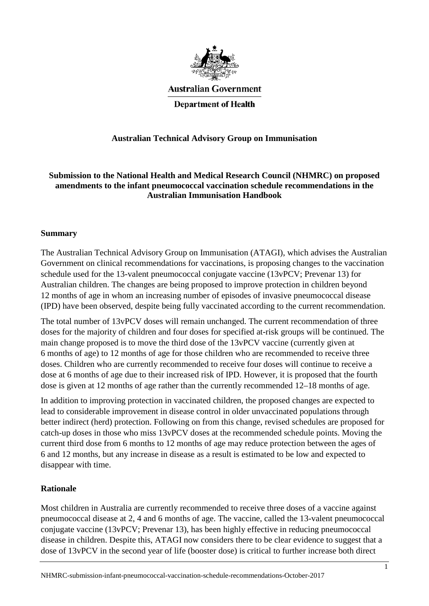

**Australian Government** 

**Department of Health** 

## **Australian Technical Advisory Group on Immunisation**

**Submission to the National Health and Medical Research Council (NHMRC) on proposed amendments to the infant pneumococcal vaccination schedule recommendations in the Australian Immunisation Handbook**

#### **Summary**

The Australian Technical Advisory Group on Immunisation (ATAGI), which advises the Australian Government on clinical recommendations for vaccinations, is proposing changes to the vaccination schedule used for the 13-valent pneumococcal conjugate vaccine (13vPCV; Prevenar 13) for Australian children. The changes are being proposed to improve protection in children beyond 12 months of age in whom an increasing number of episodes of invasive pneumococcal disease (IPD) have been observed, despite being fully vaccinated according to the current recommendation.

The total number of 13vPCV doses will remain unchanged. The current recommendation of three doses for the majority of children and four doses for specified at-risk groups will be continued. The main change proposed is to move the third dose of the 13vPCV vaccine (currently given at 6 months of age) to 12 months of age for those children who are recommended to receive three doses. Children who are currently recommended to receive four doses will continue to receive a dose at 6 months of age due to their increased risk of IPD. However, it is proposed that the fourth dose is given at 12 months of age rather than the currently recommended 12–18 months of age.

In addition to improving protection in vaccinated children, the proposed changes are expected to lead to considerable improvement in disease control in older unvaccinated populations through better indirect (herd) protection. Following on from this change, revised schedules are proposed for catch-up doses in those who miss 13vPCV doses at the recommended schedule points. Moving the current third dose from 6 months to 12 months of age may reduce protection between the ages of 6 and 12 months, but any increase in disease as a result is estimated to be low and expected to disappear with time.

### **Rationale**

Most children in Australia are currently recommended to receive three doses of a vaccine against pneumococcal disease at 2, 4 and 6 months of age. The vaccine, called the 13-valent pneumococcal conjugate vaccine (13vPCV; Prevenar 13), has been highly effective in reducing pneumococcal disease in children. Despite this, ATAGI now considers there to be clear evidence to suggest that a dose of 13vPCV in the second year of life (booster dose) is critical to further increase both direct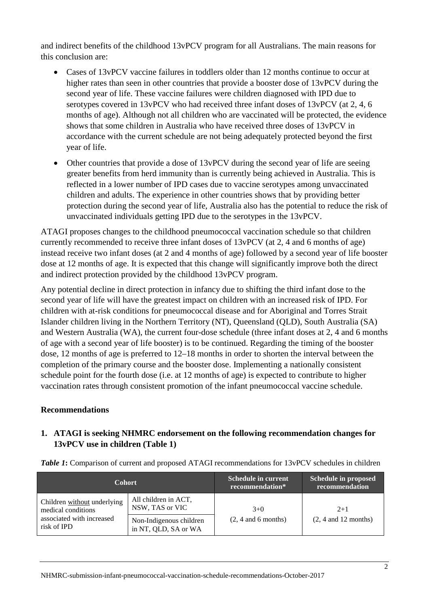and indirect benefits of the childhood 13vPCV program for all Australians. The main reasons for this conclusion are:

- Cases of 13 vPCV vaccine failures in toddlers older than 12 months continue to occur at higher rates than seen in other countries that provide a booster dose of 13vPCV during the second year of life. These vaccine failures were children diagnosed with IPD due to serotypes covered in 13vPCV who had received three infant doses of 13vPCV (at 2, 4, 6 months of age). Although not all children who are vaccinated will be protected, the evidence shows that some children in Australia who have received three doses of 13vPCV in accordance with the current schedule are not being adequately protected beyond the first year of life.
- Other countries that provide a dose of 13vPCV during the second year of life are seeing greater benefits from herd immunity than is currently being achieved in Australia. This is reflected in a lower number of IPD cases due to vaccine serotypes among unvaccinated children and adults. The experience in other countries shows that by providing better protection during the second year of life, Australia also has the potential to reduce the risk of unvaccinated individuals getting IPD due to the serotypes in the 13vPCV.

ATAGI proposes changes to the childhood pneumococcal vaccination schedule so that children currently recommended to receive three infant doses of 13vPCV (at 2, 4 and 6 months of age) instead receive two infant doses (at 2 and 4 months of age) followed by a second year of life booster dose at 12 months of age. It is expected that this change will significantly improve both the direct and indirect protection provided by the childhood 13vPCV program.

Any potential decline in direct protection in infancy due to shifting the third infant dose to the second year of life will have the greatest impact on children with an increased risk of IPD. For children with at-risk conditions for pneumococcal disease and for Aboriginal and Torres Strait Islander children living in the Northern Territory (NT), Queensland (QLD), South Australia (SA) and Western Australia (WA), the current four-dose schedule (three infant doses at 2, 4 and 6 months of age with a second year of life booster) is to be continued. Regarding the timing of the booster dose, 12 months of age is preferred to 12–18 months in order to shorten the interval between the completion of the primary course and the booster dose. Implementing a nationally consistent schedule point for the fourth dose (i.e. at 12 months of age) is expected to contribute to higher vaccination rates through consistent promotion of the infant pneumococcal vaccine schedule.

### **Recommendations**

### **1. ATAGI is seeking NHMRC endorsement on the following recommendation changes for 13vPCV use in children (Table 1)**

| <b>Cohort</b>                                                                                 |                                                 | Schedule in current<br>recommendation* | <b>Schedule in proposed</b><br>recommendation |  |
|-----------------------------------------------------------------------------------------------|-------------------------------------------------|----------------------------------------|-----------------------------------------------|--|
| Children without underlying<br>medical conditions<br>associated with increased<br>risk of IPD | All children in ACT,<br>NSW, TAS or VIC         | $3+0$                                  | $2+1$                                         |  |
|                                                                                               | Non-Indigenous children<br>in NT, QLD, SA or WA | $(2, 4$ and 6 months)                  | $(2, 4$ and 12 months)                        |  |

*Table 1***:** Comparison of current and proposed ATAGI recommendations for 13vPCV schedules in children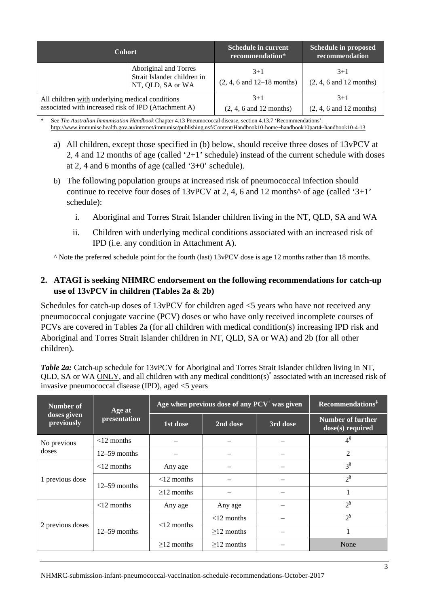| <b>Cohort</b>                                                                                           |                                                                           | <b>Schedule in current</b><br>recommendation*            | Schedule in proposed<br>recommendation |  |
|---------------------------------------------------------------------------------------------------------|---------------------------------------------------------------------------|----------------------------------------------------------|----------------------------------------|--|
|                                                                                                         | Aboriginal and Torres<br>Strait Islander children in<br>NT, QLD, SA or WA | $3+1$<br>$(2, 4, 6 \text{ and } 12 - 18 \text{ months})$ | $3+1$<br>$(2, 4, 6$ and 12 months)     |  |
| All children with underlying medical conditions<br>associated with increased risk of IPD (Attachment A) |                                                                           | $3+1$<br>$(2, 4, 6$ and 12 months)                       | $3+1$<br>$(2, 4, 6$ and 12 months)     |  |

\* See *The Australian Immunisation Handbook* Chapter 4.13 Pneumococcal disease, section 4.13.7 'Recommendations'. [http://www.immunise.health.gov.au/internet/immunise/publishing.nsf/Content/Handbook10-home~handbook10part4~handbook10-4-13](http://www.immunise.health.gov.au/internet/immunise/publishing.nsf/Content/Handbook10-home%7Ehandbook10part4%7Ehandbook10-4-13)

- a) All children, except those specified in (b) below, should receive three doses of 13vPCV at 2, 4 and 12 months of age (called '2+1' schedule) instead of the current schedule with doses at 2, 4 and 6 months of age (called '3+0' schedule).
- b) The following population groups at increased risk of pneumococcal infection should continue to receive four doses of  $13vPCV$  at 2, 4, 6 and 12 months<sup> $\wedge$ </sup> of age (called '3+1' schedule):
	- i. Aboriginal and Torres Strait Islander children living in the NT, QLD, SA and WA
	- ii. Children with underlying medical conditions associated with an increased risk of IPD (i.e. any condition in Attachment A).

^ Note the preferred schedule point for the fourth (last) 13vPCV dose is age 12 months rather than 18 months.

### **2. ATAGI is seeking NHMRC endorsement on the following recommendations for catch-up use of 13vPCV in children (Tables 2a & 2b)**

Schedules for catch-up doses of 13vPCV for children aged <5 years who have not received any pneumococcal conjugate vaccine (PCV) doses or who have only received incomplete courses of PCVs are covered in Tables 2a (for all children with medical condition(s) increasing IPD risk and Aboriginal and Torres Strait Islander children in NT, QLD, SA or WA) and 2b (for all other children).

*Table 2a:* Catch-up schedule for 13vPCV for Aboriginal and Torres Strait Islander children living in NT, QLD, SA or WA ONLY, and all children with any medical condition(s)\* associated with an increased risk of invasive pneumococcal disease (IPD), aged <5 years

| Number of                 | Age at         | Age when previous dose of any $PCV^{\dagger}$ was given | Recommendations <sup>‡</sup> |          |                                                |
|---------------------------|----------------|---------------------------------------------------------|------------------------------|----------|------------------------------------------------|
| doses given<br>previously | presentation   | 1st dose                                                | 2nd dose                     | 3rd dose | <b>Number of further</b><br>$dose(s)$ required |
| No previous               | $<$ 12 months  |                                                         |                              |          | $4^{\S}$                                       |
| doses                     | $12-59$ months |                                                         |                              |          | $\overline{2}$                                 |
| 1 previous dose           | $<$ 12 months  | Any age                                                 |                              |          | $3^{\S}$                                       |
|                           | $12-59$ months | $<$ 12 months                                           |                              |          | $2^{\frac{8}{3}}$                              |
|                           |                | $\geq$ 12 months                                        |                              |          | 1                                              |
| 2 previous doses          | $<$ 12 months  | Any age                                                 | Any age                      |          | $2^{\frac{8}{3}}$                              |
|                           |                | $<$ 12 months                                           | $<$ 12 months                |          | $2^{\$}$                                       |
|                           | $12-59$ months |                                                         | $>12$ months                 |          |                                                |
|                           |                | $>12$ months                                            | $>12$ months                 |          | None                                           |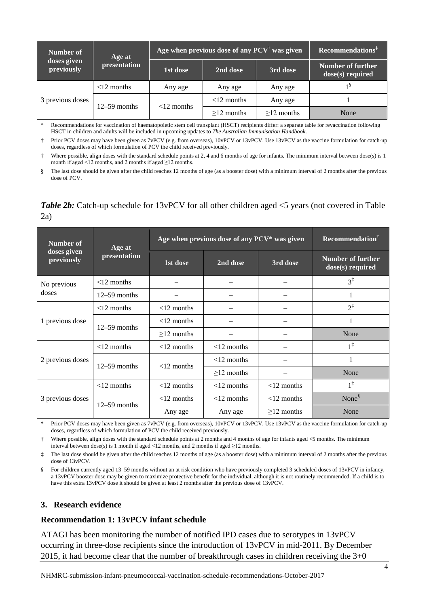| Number of                 | Age at         | Age when previous dose of any $PCV^{\dagger}$ was given | $\mathbf{Recommendations}^{\ddagger}$ |              |                                       |
|---------------------------|----------------|---------------------------------------------------------|---------------------------------------|--------------|---------------------------------------|
| doses given<br>previously | presentation   | 1st dose                                                | 3rd dose<br>2nd dose                  |              | Number of further<br>dose(s) required |
| 3 previous doses          | $<$ 12 months  | Any age                                                 | Any age                               | Any age      | 18                                    |
|                           | $12-59$ months | $<$ 12 months                                           | $<$ 12 months                         | Any age      |                                       |
|                           |                |                                                         | $>12$ months                          | $>12$ months | None                                  |

\* Recommendations for vaccination of haematopoietic stem cell transplant (HSCT) recipients differ: a separate table for revaccination following HSCT in children and adults will be included in upcoming updates to *The Australian Immunisation Handbook*.

Prior PCV doses may have been given as 7vPCV (e.g. from overseas), 10vPCV or 13vPCV. Use 13vPCV as the vaccine formulation for catch-up doses, regardless of which formulation of PCV the child received previously.

‡ Where possible, align doses with the standard schedule points at 2, 4 and 6 months of age for infants. The minimum interval between dose(s) is 1 month if aged <12 months, and 2 months if aged  $\geq$ 12 months.

The last dose should be given after the child reaches 12 months of age (as a booster dose) with a minimum interval of 2 months after the previous dose of PCV.

### *Table 2b:* Catch-up schedule for 13vPCV for all other children aged  $\leq$  5 years (not covered in Table 2a)

| Number of                 | Age at         | Age when previous dose of any PCV* was given | <b>Recommendation</b> <sup>†</sup> |                  |                                         |
|---------------------------|----------------|----------------------------------------------|------------------------------------|------------------|-----------------------------------------|
| doses given<br>previously | presentation   | 1st dose                                     | 2nd dose                           | 3rd dose         | Number of further<br>$dose(s)$ required |
| No previous               | $<$ 12 months  |                                              |                                    |                  | $3^{\ddagger}$                          |
| doses                     | $12-59$ months |                                              |                                    |                  | 1                                       |
| 1 previous dose           | $<$ 12 months  | $<$ 12 months                                |                                    |                  | $2^{\ddagger}$                          |
|                           | $12-59$ months | $<$ 12 months                                |                                    |                  | 1                                       |
|                           |                | $\geq$ 12 months                             |                                    |                  | None                                    |
| 2 previous doses          | $<$ 12 months  | $<$ 12 months                                | $<$ 12 months                      |                  | $1^{\ddagger}$                          |
|                           | $12-59$ months | $<$ 12 months                                | $<$ 12 months                      |                  | 1                                       |
|                           |                |                                              | $\geq$ 12 months                   |                  | None                                    |
| 3 previous doses          | $<$ 12 months  | $<$ 12 months                                | $<$ 12 months                      | $<$ 12 months    | $1^{\ddagger}$                          |
|                           | $12-59$ months | $<$ 12 months<br>$<$ 12 months               |                                    | $<$ 12 months    | None $\delta$                           |
|                           |                | Any age                                      | Any age                            | $\geq$ 12 months | None                                    |

Prior PCV doses may have been given as 7vPCV (e.g. from overseas), 10vPCV or 13vPCV. Use 13vPCV as the vaccine formulation for catch-up doses, regardless of which formulation of PCV the child received previously.

† Where possible, align doses with the standard schedule points at 2 months and 4 months of age for infants aged <5 months. The minimum interval between dose(s) is 1 month if aged <12 months, and 2 months if aged  $\geq$ 12 months.

‡ The last dose should be given after the child reaches 12 months of age (as a booster dose) with a minimum interval of 2 months after the previous dose of 13vPCV.

§ For children currently aged 13–59 months without an at risk condition who have previously completed 3 scheduled doses of 13vPCV in infancy, a 13vPCV booster dose may be given to maximize protective benefit for the individual, although it is not routinely recommended. If a child is to have this extra 13vPCV dose it should be given at least 2 months after the previous dose of 13vPCV.

#### **3. Research evidence**

#### **Recommendation 1: 13vPCV infant schedule**

ATAGI has been monitoring the number of notified IPD cases due to serotypes in 13vPCV occurring in three-dose recipients since the introduction of 13vPCV in mid-2011. By December 2015, it had become clear that the number of breakthrough cases in children receiving the 3+0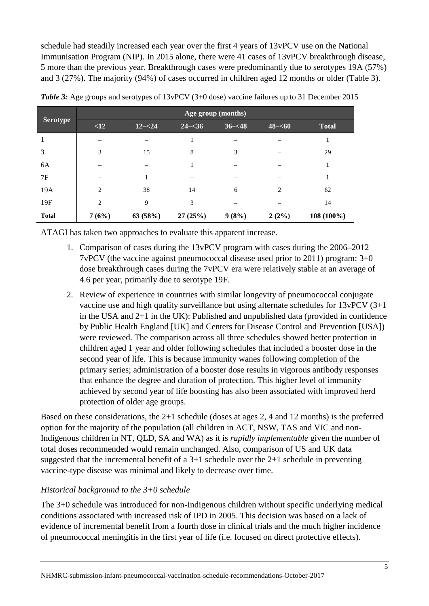schedule had steadily increased each year over the first 4 years of 13vPCV use on the National Immunisation Program (NIP). In 2015 alone, there were 41 cases of 13vPCV breakthrough disease, 5 more than the previous year. Breakthrough cases were predominantly due to serotypes 19A (57%) and 3 (27%). The majority (94%) of cases occurred in children aged 12 months or older (Table 3).

|                 | Age group (months) |           |           |           |           |              |  |
|-----------------|--------------------|-----------|-----------|-----------|-----------|--------------|--|
| <b>Serotype</b> | <12                | $12 - 24$ | $24 - 36$ | $36 - 48$ | $48 - 60$ | <b>Total</b> |  |
|                 |                    |           |           |           |           | 1            |  |
| 3               | 3                  | 15        | 8         | 3         |           | 29           |  |
| 6A              |                    |           | 1         |           |           | 1            |  |
| 7F              |                    |           |           |           |           | 1            |  |
| 19A             | $\overline{c}$     | 38        | 14        | 6         | 2         | 62           |  |
| 19F             | 2                  | 9         | 3         |           |           | 14           |  |
| <b>Total</b>    | 7(6%)              | 63(58%)   | 27(25%)   | 9(8%)     | $2(2\%)$  | 108 (100%)   |  |

*Table 3:* Age groups and serotypes of 13vPCV (3+0 dose) vaccine failures up to 31 December 2015

ATAGI has taken two approaches to evaluate this apparent increase.

- 1. Comparison of cases during the 13vPCV program with cases during the 2006–2012 7vPCV (the vaccine against pneumococcal disease used prior to 2011) program: 3+0 dose breakthrough cases during the 7vPCV era were relatively stable at an average of 4.6 per year, primarily due to serotype 19F.
- 2. Review of experience in countries with similar longevity of pneumococcal conjugate vaccine use and high quality surveillance but using alternate schedules for 13vPCV (3+1 in the USA and 2+1 in the UK): Published and unpublished data (provided in confidence by Public Health England [UK] and Centers for Disease Control and Prevention [USA]) were reviewed. The comparison across all three schedules showed better protection in children aged 1 year and older following schedules that included a booster dose in the second year of life. This is because immunity wanes following completion of the primary series; administration of a booster dose results in vigorous antibody responses that enhance the degree and duration of protection. This higher level of immunity achieved by second year of life boosting has also been associated with improved herd protection of older age groups.

Based on these considerations, the 2+1 schedule (doses at ages 2, 4 and 12 months) is the preferred option for the majority of the population (all children in ACT, NSW, TAS and VIC and non-Indigenous children in NT, QLD, SA and WA) as it is *rapidly implementable* given the number of total doses recommended would remain unchanged. Also, comparison of US and UK data suggested that the incremental benefit of a 3+1 schedule over the 2+1 schedule in preventing vaccine-type disease was minimal and likely to decrease over time.

# *Historical background to the 3+0 schedule*

The 3+0 schedule was introduced for non-Indigenous children without specific underlying medical conditions associated with increased risk of IPD in 2005. This decision was based on a lack of evidence of incremental benefit from a fourth dose in clinical trials and the much higher incidence of pneumococcal meningitis in the first year of life (i.e. focused on direct protective effects).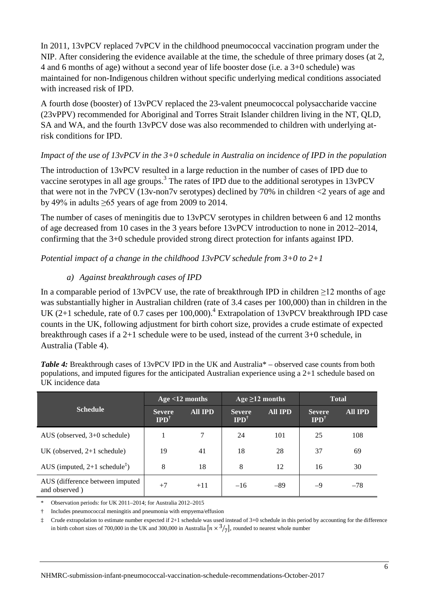In 2011, 13vPCV replaced 7vPCV in the childhood pneumococcal vaccination program under the NIP. After considering the evidence available at the time, the schedule of three primary doses (at 2, 4 and 6 months of age) without a second year of life booster dose (i.e. a 3+0 schedule) was maintained for non-Indigenous children without specific underlying medical conditions associated with increased risk of IPD.

A fourth dose (booster) of 13vPCV replaced the 23-valent pneumococcal polysaccharide vaccine (23vPPV) recommended for Aboriginal and Torres Strait Islander children living in the NT, QLD, SA and WA, and the fourth 13vPCV dose was also recommended to children with underlying atrisk conditions for IPD.

## *Impact of the use of 13vPCV in the 3+0 schedule in Australia on incidence of IPD in the population*

The introduction of 13vPCV resulted in a large reduction in the number of cases of IPD due to vaccine serotypes in all age groups.<sup>[3](#page-8-0)</sup> The rates of IPD due to the additional serotypes in 13vPCV that were not in the 7vPCV (13v-non7v serotypes) declined by 70% in children <2 years of age and by 49% in adults  $\geq 65$  years of age from 2009 to 2014.

The number of cases of meningitis due to 13yPCV serotypes in children between 6 and 12 months of age decreased from 10 cases in the 3 years before 13vPCV introduction to none in 2012–2014, confirming that the 3+0 schedule provided strong direct protection for infants against IPD.

*Potential impact of a change in the childhood 13vPCV schedule from 3+0 to 2+1*

# *a) Against breakthrough cases of IPD*

In a comparable period of 13vPCV use, the rate of breakthrough IPD in children  $\geq$ 12 months of age was substantially higher in Australian children (rate of 3.4 cases per 100,000) than in children in the UK (2+1 schedule, rate of 0.7 cases per 100,000).<sup>[4](#page-8-1)</sup> Extrapolation of 13vPCV breakthrough IPD case counts in the UK, following adjustment for birth cohort size, provides a crude estimate of expected breakthrough cases if a 2+1 schedule were to be used, instead of the current 3+0 schedule, in Australia (Table 4).

*Table 4:* Breakthrough cases of 13vPCV IPD in the UK and Australia\* – observed case counts from both populations, and imputed figures for the anticipated Australian experience using a 2+1 schedule based on UK incidence data

|                                                                 | Age $<$ 12 months                |                | Age $\geq$ 12 months             |                | <b>Total</b>                     |                |
|-----------------------------------------------------------------|----------------------------------|----------------|----------------------------------|----------------|----------------------------------|----------------|
| <b>Schedule</b>                                                 | <b>Severe</b><br>$IPD^{\dagger}$ | <b>All IPD</b> | <b>Severe</b><br>$IPD^{\dagger}$ | <b>All IPD</b> | <b>Severe</b><br>$IPD^{\dagger}$ | <b>All IPD</b> |
| AUS (observed, $3+0$ schedule)                                  |                                  | 7              | 24                               | 101            | 25                               | 108            |
| UK (observed, $2+1$ schedule)                                   | 19                               | 41             | 18                               | 28             | 37                               | 69             |
| AUS (imputed, $2+1$ schedule <sup><math>\ddagger</math></sup> ) | 8                                | 18             | 8                                | 12             | 16                               | 30             |
| AUS (difference between imputed)<br>and observed)               | $+7$                             | $+11$          | $-16$                            | $-89$          | $-9$                             | $-78$          |

\* Observation periods: for UK 2011–2014; for Australia 2012–2015

† Includes pneumococcal meningitis and pneumonia with empyema/effusion

 $\ddagger$  Crude extrapolation to estimate number expected if 2+1 schedule was used instead of 3+0 schedule in this period by accounting for the difference in birth cohort sizes of 700,000 in the UK and 300,000 in Australia  $\left[ n \times \frac{3}{7} \right]$ , rounded to nearest whole number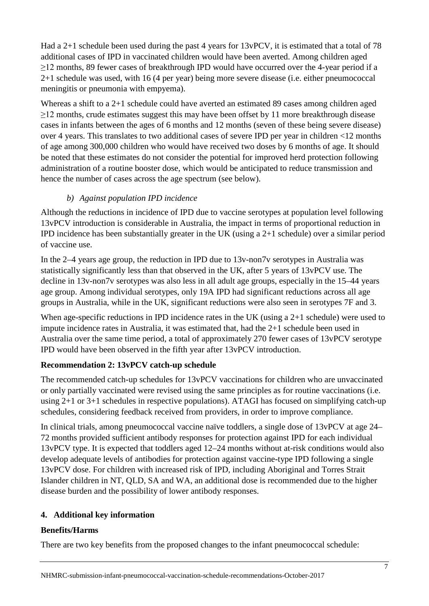Had a 2+1 schedule been used during the past 4 years for 13vPCV, it is estimated that a total of 78 additional cases of IPD in vaccinated children would have been averted. Among children aged  $\geq$ 12 months, 89 fewer cases of breakthrough IPD would have occurred over the 4-year period if a 2+1 schedule was used, with 16 (4 per year) being more severe disease (i.e. either pneumococcal meningitis or pneumonia with empyema).

Whereas a shift to a 2+1 schedule could have averted an estimated 89 cases among children aged ≥12 months, crude estimates suggest this may have been offset by 11 more breakthrough disease cases in infants between the ages of 6 months and 12 months (seven of these being severe disease) over 4 years. This translates to two additional cases of severe IPD per year in children <12 months of age among 300,000 children who would have received two doses by 6 months of age. It should be noted that these estimates do not consider the potential for improved herd protection following administration of a routine booster dose, which would be anticipated to reduce transmission and hence the number of cases across the age spectrum (see below).

# *b) Against population IPD incidence*

Although the reductions in incidence of IPD due to vaccine serotypes at population level following 13vPCV introduction is considerable in Australia, the impact in terms of proportional reduction in IPD incidence has been substantially greater in the UK (using a 2+1 schedule) over a similar period of vaccine use.

In the 2–4 years age group, the reduction in IPD due to 13v-non7v serotypes in Australia was statistically significantly less than that observed in the UK, after 5 years of 13vPCV use. The decline in 13v-non7v serotypes was also less in all adult age groups, especially in the 15–44 years age group. Among individual serotypes, only 19A IPD had significant reductions across all age groups in Australia, while in the UK, significant reductions were also seen in serotypes 7F and 3.

When age-specific reductions in IPD incidence rates in the UK (using a 2+1 schedule) were used to impute incidence rates in Australia, it was estimated that, had the 2+1 schedule been used in Australia over the same time period, a total of approximately 270 fewer cases of 13vPCV serotype IPD would have been observed in the fifth year after 13vPCV introduction.

# **Recommendation 2: 13vPCV catch-up schedule**

The recommended catch-up schedules for 13vPCV vaccinations for children who are unvaccinated or only partially vaccinated were revised using the same principles as for routine vaccinations (i.e. using 2+1 or 3+1 schedules in respective populations). ATAGI has focused on simplifying catch-up schedules, considering feedback received from providers, in order to improve compliance.

In clinical trials, among pneumococcal vaccine naïve toddlers, a single dose of 13vPCV at age 24– 72 months provided sufficient antibody responses for protection against IPD for each individual 13vPCV type. It is expected that toddlers aged 12–24 months without at-risk conditions would also develop adequate levels of antibodies for protection against vaccine-type IPD following a single 13vPCV dose. For children with increased risk of IPD, including Aboriginal and Torres Strait Islander children in NT, QLD, SA and WA, an additional dose is recommended due to the higher disease burden and the possibility of lower antibody responses.

# **4. Additional key information**

### **Benefits/Harms**

There are two key benefits from the proposed changes to the infant pneumococcal schedule: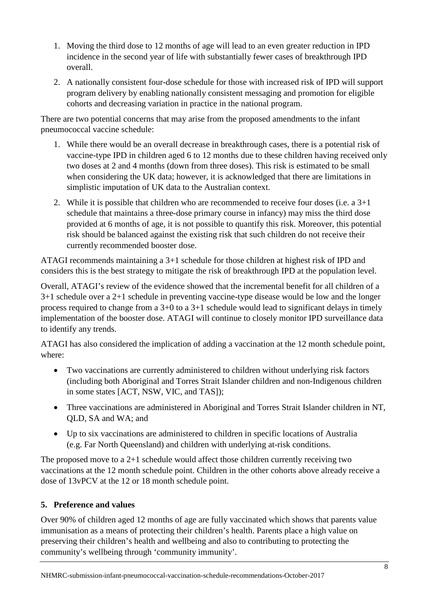- 1. Moving the third dose to 12 months of age will lead to an even greater reduction in IPD incidence in the second year of life with substantially fewer cases of breakthrough IPD overall.
- 2. A nationally consistent four-dose schedule for those with increased risk of IPD will support program delivery by enabling nationally consistent messaging and promotion for eligible cohorts and decreasing variation in practice in the national program.

There are two potential concerns that may arise from the proposed amendments to the infant pneumococcal vaccine schedule:

- 1. While there would be an overall decrease in breakthrough cases, there is a potential risk of vaccine-type IPD in children aged 6 to 12 months due to these children having received only two doses at 2 and 4 months (down from three doses). This risk is estimated to be small when considering the UK data; however, it is acknowledged that there are limitations in simplistic imputation of UK data to the Australian context.
- 2. While it is possible that children who are recommended to receive four doses (i.e. a  $3+1$ ) schedule that maintains a three-dose primary course in infancy) may miss the third dose provided at 6 months of age, it is not possible to quantify this risk. Moreover, this potential risk should be balanced against the existing risk that such children do not receive their currently recommended booster dose.

ATAGI recommends maintaining a 3+1 schedule for those children at highest risk of IPD and considers this is the best strategy to mitigate the risk of breakthrough IPD at the population level.

Overall, ATAGI's review of the evidence showed that the incremental benefit for all children of a 3+1 schedule over a 2+1 schedule in preventing vaccine-type disease would be low and the longer process required to change from a 3+0 to a 3+1 schedule would lead to significant delays in timely implementation of the booster dose. ATAGI will continue to closely monitor IPD surveillance data to identify any trends.

ATAGI has also considered the implication of adding a vaccination at the 12 month schedule point, where:

- Two vaccinations are currently administered to children without underlying risk factors (including both Aboriginal and Torres Strait Islander children and non-Indigenous children in some states [ACT, NSW, VIC, and TAS]);
- Three vaccinations are administered in Aboriginal and Torres Strait Islander children in NT, QLD, SA and WA; and
- Up to six vaccinations are administered to children in specific locations of Australia (e.g. Far North Queensland) and children with underlying at-risk conditions.

The proposed move to a  $2+1$  schedule would affect those children currently receiving two vaccinations at the 12 month schedule point. Children in the other cohorts above already receive a dose of 13vPCV at the 12 or 18 month schedule point.

# **5. Preference and values**

Over 90% of children aged 12 months of age are fully vaccinated which shows that parents value immunisation as a means of protecting their children's health. Parents place a high value on preserving their children's health and wellbeing and also to contributing to protecting the community's wellbeing through 'community immunity'.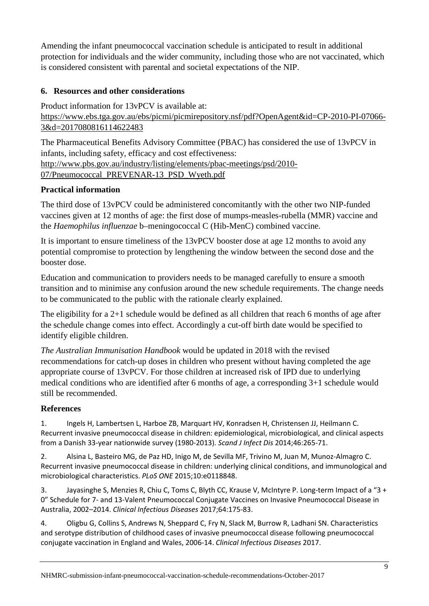Amending the infant pneumococcal vaccination schedule is anticipated to result in additional protection for individuals and the wider community, including those who are not vaccinated, which is considered consistent with parental and societal expectations of the NIP.

# **6. Resources and other considerations**

Product information for 13vPCV is available at: [https://www.ebs.tga.gov.au/ebs/picmi/picmirepository.nsf/pdf?OpenAgent&id=CP-2010-PI-07066-](https://www.ebs.tga.gov.au/ebs/picmi/picmirepository.nsf/pdf?OpenAgent&id=CP-2010-PI-07066-3&d=2017080816114622483) [3&d=2017080816114622483](https://www.ebs.tga.gov.au/ebs/picmi/picmirepository.nsf/pdf?OpenAgent&id=CP-2010-PI-07066-3&d=2017080816114622483)

The Pharmaceutical Benefits Advisory Committee (PBAC) has considered the use of 13vPCV in infants, including safety, efficacy and cost effectiveness: [http://www.pbs.gov.au/industry/listing/elements/pbac-meetings/psd/2010-](http://www.pbs.gov.au/industry/listing/elements/pbac-meetings/psd/2010-07/Pneumococcal_PREVENAR-13_PSD_Wyeth.pdf) [07/Pneumococcal\\_PREVENAR-13\\_PSD\\_Wyeth.pdf](http://www.pbs.gov.au/industry/listing/elements/pbac-meetings/psd/2010-07/Pneumococcal_PREVENAR-13_PSD_Wyeth.pdf)

# **Practical information**

The third dose of 13vPCV could be administered concomitantly with the other two NIP-funded vaccines given at 12 months of age: the first dose of mumps-measles-rubella (MMR) vaccine and the *Haemophilus influenzae* b–meningococcal C (Hib-MenC) combined vaccine.

It is important to ensure timeliness of the 13vPCV booster dose at age 12 months to avoid any potential compromise to protection by lengthening the window between the second dose and the booster dose.

Education and communication to providers needs to be managed carefully to ensure a smooth transition and to minimise any confusion around the new schedule requirements. The change needs to be communicated to the public with the rationale clearly explained.

The eligibility for a 2+1 schedule would be defined as all children that reach 6 months of age after the schedule change comes into effect. Accordingly a cut-off birth date would be specified to identify eligible children.

*The Australian Immunisation Handbook* would be updated in 2018 with the revised recommendations for catch-up doses in children who present without having completed the age appropriate course of 13vPCV. For those children at increased risk of IPD due to underlying medical conditions who are identified after 6 months of age, a corresponding 3+1 schedule would still be recommended.

# **References**

<span id="page-8-2"></span>1. Ingels H, Lambertsen L, Harboe ZB, Marquart HV, Konradsen H, Christensen JJ, Heilmann C. Recurrent invasive pneumococcal disease in children: epidemiological, microbiological, and clinical aspects from a Danish 33-year nationwide survey (1980-2013). *Scand J Infect Dis* 2014;46:265-71.

<span id="page-8-3"></span>2. Alsina L, Basteiro MG, de Paz HD, Inigo M, de Sevilla MF, Trivino M, Juan M, Munoz-Almagro C. Recurrent invasive pneumococcal disease in children: underlying clinical conditions, and immunological and microbiological characteristics. *PLoS ONE* 2015;10:e0118848.

<span id="page-8-0"></span>3. Jayasinghe S, Menzies R, Chiu C, Toms C, Blyth CC, Krause V, McIntyre P. Long-term Impact of a "3 + 0" Schedule for 7- and 13-Valent Pneumococcal Conjugate Vaccines on Invasive Pneumococcal Disease in Australia, 2002–2014. *Clinical Infectious Diseases* 2017;64:175-83.

<span id="page-8-1"></span>4. Oligbu G, Collins S, Andrews N, Sheppard C, Fry N, Slack M, Burrow R, Ladhani SN. Characteristics and serotype distribution of childhood cases of invasive pneumococcal disease following pneumococcal conjugate vaccination in England and Wales, 2006-14. *Clinical Infectious Diseases* 2017.